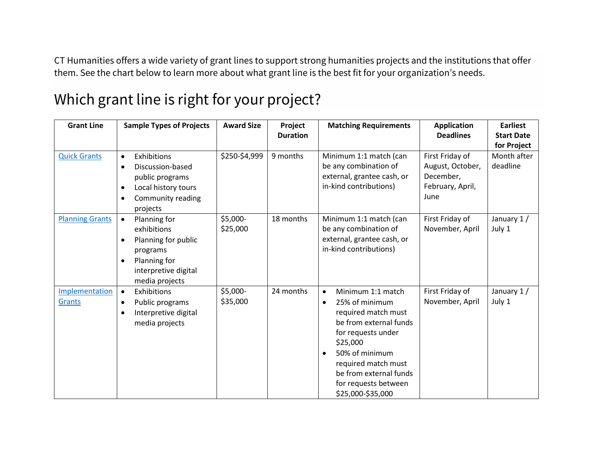CT Humanities offers a wide variety of grant lines to support strong humanities projects and the institutions that offer them. See the chart below to learn more about what grant line is the best fit for your organization's needs.

| <b>Grant Line</b>      | <b>Sample Types of Projects</b>   | <b>Award Size</b><br>Project |                 | <b>Matching Requirements</b>   | <b>Application</b>                 | <b>Earliest</b>   |
|------------------------|-----------------------------------|------------------------------|-----------------|--------------------------------|------------------------------------|-------------------|
|                        |                                   |                              | <b>Duration</b> |                                | <b>Deadlines</b>                   | <b>Start Date</b> |
|                        |                                   |                              |                 |                                |                                    | for Project       |
| <b>Quick Grants</b>    | Exhibitions<br>$\bullet$          | \$250-\$4,999                | 9 months        | Minimum 1:1 match (can         | First Friday of                    | Month after       |
|                        | Discussion-based<br>$\bullet$     |                              |                 | be any combination of          | August, October,                   | deadline          |
|                        | public programs                   |                              |                 | external, grantee cash, or     | December,                          |                   |
|                        | Local history tours<br>$\bullet$  |                              |                 | in-kind contributions)         | February, April,                   |                   |
|                        | Community reading<br>$\bullet$    |                              |                 |                                | June                               |                   |
|                        | projects                          |                              |                 |                                |                                    |                   |
| <b>Planning Grants</b> | Planning for<br>$\bullet$         | \$5,000-                     | 18 months       | Minimum 1:1 match (can         | First Friday of<br>November, April | January 1/        |
|                        | exhibitions                       | \$25,000                     |                 | be any combination of          |                                    | July 1            |
|                        | Planning for public<br>$\bullet$  |                              |                 | external, grantee cash, or     |                                    |                   |
|                        | programs                          |                              |                 | in-kind contributions)         |                                    |                   |
|                        | Planning for<br>$\bullet$         |                              |                 |                                |                                    |                   |
|                        | interpretive digital              |                              |                 |                                |                                    |                   |
|                        | media projects                    |                              |                 |                                |                                    |                   |
| Implementation         | Exhibitions<br>$\bullet$          | \$5,000-                     | 24 months       | Minimum 1:1 match<br>$\bullet$ | First Friday of                    | January 1/        |
| <b>Grants</b>          | Public programs<br>$\bullet$      | \$35,000                     |                 | 25% of minimum<br>$\bullet$    | November, April                    | July 1            |
|                        | Interpretive digital<br>$\bullet$ |                              |                 | required match must            |                                    |                   |
|                        | media projects                    |                              |                 | be from external funds         |                                    |                   |
|                        |                                   |                              |                 | for requests under             |                                    |                   |
|                        |                                   |                              |                 | \$25,000                       |                                    |                   |
|                        |                                   |                              |                 | 50% of minimum<br>$\bullet$    |                                    |                   |
|                        |                                   |                              |                 | required match must            |                                    |                   |
|                        |                                   |                              |                 | be from external funds         |                                    |                   |
|                        |                                   |                              |                 | for requests between           |                                    |                   |
|                        |                                   |                              |                 | \$25,000-\$35,000              |                                    |                   |

## Which grant line is right for your project?